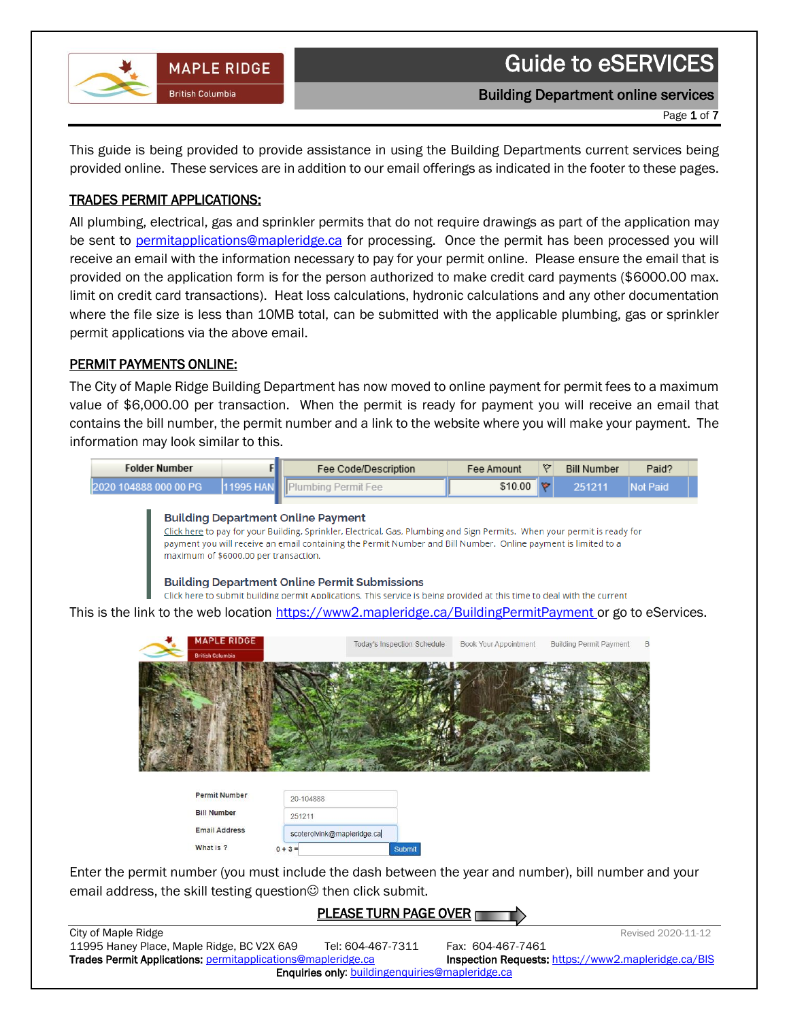

 $\begin{array}{c} \hline \end{array}$ 

Building Department online services

Page 1 of 7

This guide is being provided to provide assistance in using the Building Departments current services being provided online. These services are in addition to our email offerings as indicated in the footer to these pages.

### TRADES PERMIT APPLICATIONS:

All plumbing, electrical, gas and sprinkler permits that do not require drawings as part of the application may be sent to [permitapplications@mapleridge.ca](mailto:permitapplications@mapleridge.ca) for processing. Once the permit has been processed you will receive an email with the information necessary to pay for your permit online. Please ensure the email that is provided on the application form is for the person authorized to make credit card payments (\$6000.00 max. limit on credit card transactions). Heat loss calculations, hydronic calculations and any other documentation where the file size is less than 10MB total, can be submitted with the applicable plumbing, gas or sprinkler permit applications via the above email.

# PERMIT PAYMENTS ONLINE:

The City of Maple Ridge Building Department has now moved to online payment for permit fees to a maximum value of \$6,000.00 per transaction. When the permit is ready for payment you will receive an email that contains the bill number, the permit number and a link to the website where you will make your payment. The information may look similar to this.

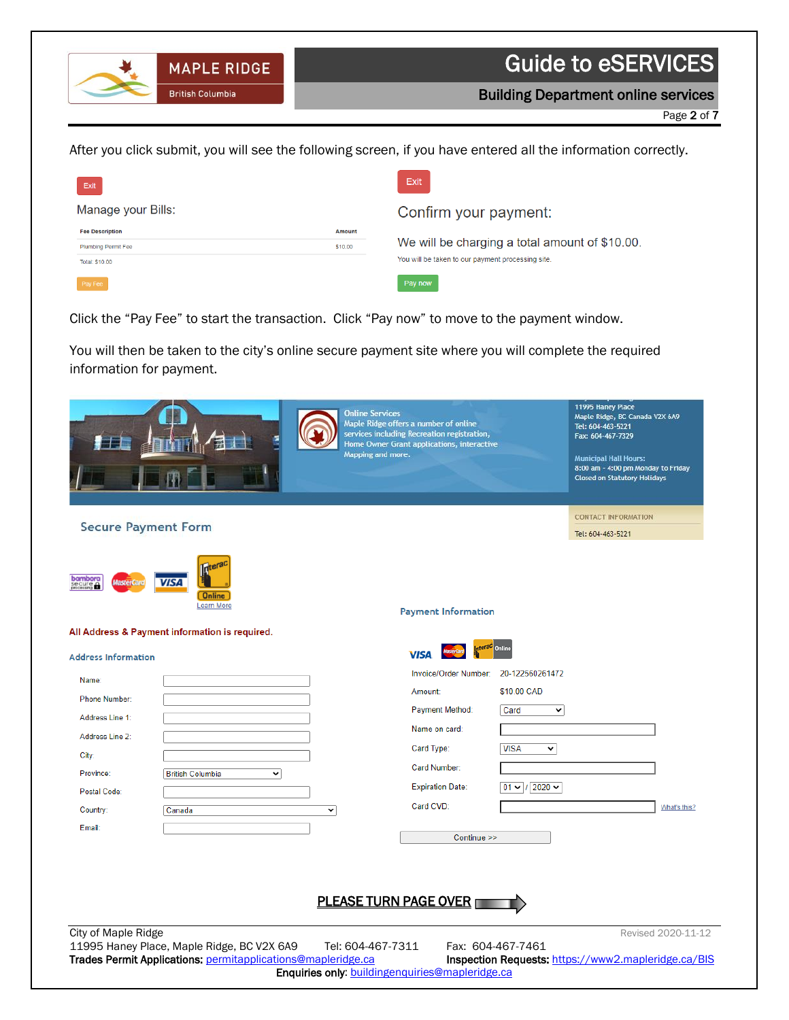Building Department online services

Page 2 of 7

After you click submit, you will see the following screen, if you have entered all the information correctly.

 $\begin{array}{c} \hline \end{array}$ 

**MAPLE RIDGE** 

**British Columbia** 

| Exit                       |         | Exit                                              |
|----------------------------|---------|---------------------------------------------------|
| Manage your Bills:         |         | Confirm your payment:                             |
| <b>Fee Description</b>     | Amount  |                                                   |
| <b>Plumbing Permit Fee</b> | \$10.00 | We will be charging a total amount of \$10.00.    |
| Total: \$10.00             |         | You will be taken to our payment processing site. |
| Pay Fee                    |         | Pay now                                           |

Click the "Pay Fee" to start the transaction. Click "Pay now" to move to the payment window.

You will then be taken to the city's online secure payment site where you will complete the required information for payment.

|                                                                                       | <b>Online Services</b><br>Mapping and more.     | Maple Ridge offers a number of online<br>services including Recreation registration,<br>Home Owner Grant applications, interactive |                   | 11995 Haney Place<br>Maple Ridge, BC Canada V2X 6A9<br>Tel: 604-463-5221<br>Fax: 604-467-7329<br><b>Municipal Hall Hours:</b><br>8:00 am - 4:00 pm Monday to Friday<br>Closed on Statutory Holidays |                    |
|---------------------------------------------------------------------------------------|-------------------------------------------------|------------------------------------------------------------------------------------------------------------------------------------|-------------------|-----------------------------------------------------------------------------------------------------------------------------------------------------------------------------------------------------|--------------------|
| <b>Secure Payment Form</b>                                                            |                                                 |                                                                                                                                    |                   | <b>CONTACT INFORMATION</b>                                                                                                                                                                          |                    |
|                                                                                       |                                                 |                                                                                                                                    |                   | Tel: 604-463-5221                                                                                                                                                                                   |                    |
| <b>bambora</b><br>secure<br>processing<br>VIS 4<br><b>Online</b><br><b>Learn More</b> |                                                 | <b>Payment Information</b>                                                                                                         |                   |                                                                                                                                                                                                     |                    |
| All Address & Payment information is required.                                        |                                                 |                                                                                                                                    |                   |                                                                                                                                                                                                     |                    |
| <b>Address Information</b>                                                            |                                                 | <b>VISA</b>                                                                                                                        | Online            |                                                                                                                                                                                                     |                    |
| Name:                                                                                 |                                                 | Invoice/Order Number:                                                                                                              | 20-122560261472   |                                                                                                                                                                                                     |                    |
| Phone Number:                                                                         |                                                 | Amount:                                                                                                                            | \$10.00 CAD       |                                                                                                                                                                                                     |                    |
| Address Line 1:                                                                       |                                                 | Payment Method:<br>Name on card:                                                                                                   | Card<br>v         |                                                                                                                                                                                                     |                    |
| Address Line 2:                                                                       |                                                 |                                                                                                                                    | <b>VISA</b>       |                                                                                                                                                                                                     |                    |
| City:                                                                                 |                                                 | Card Type:<br>Card Number:                                                                                                         | v                 |                                                                                                                                                                                                     |                    |
| Province:<br><b>British Columbia</b><br>v                                             |                                                 | <b>Expiration Date:</b>                                                                                                            | $01 - 12020 -$    |                                                                                                                                                                                                     |                    |
| Postal Code:                                                                          |                                                 | Card CVD:                                                                                                                          |                   |                                                                                                                                                                                                     | What's this?       |
| Country:<br>Canada<br>Email:                                                          | $\check{~}$                                     |                                                                                                                                    |                   |                                                                                                                                                                                                     |                    |
|                                                                                       |                                                 | Continue >>                                                                                                                        |                   |                                                                                                                                                                                                     |                    |
|                                                                                       |                                                 |                                                                                                                                    |                   |                                                                                                                                                                                                     |                    |
|                                                                                       |                                                 |                                                                                                                                    |                   |                                                                                                                                                                                                     |                    |
|                                                                                       | <b>PLEASE TURN PAGE OVER</b>                    |                                                                                                                                    |                   |                                                                                                                                                                                                     |                    |
| City of Maple Ridge<br>11995 Haney Place, Maple Ridge, BC V2X 6A9                     | Tel: 604-467-7311                               |                                                                                                                                    | Fax: 604-467-7461 |                                                                                                                                                                                                     | Revised 2020-11-12 |
| Trades Permit Applications: permitapplications@mapleridge.ca                          | Enquiries only: buildingenquiries@mapleridge.ca |                                                                                                                                    |                   | Inspection Requests: https://www2.mapleridge.ca/BIS                                                                                                                                                 |                    |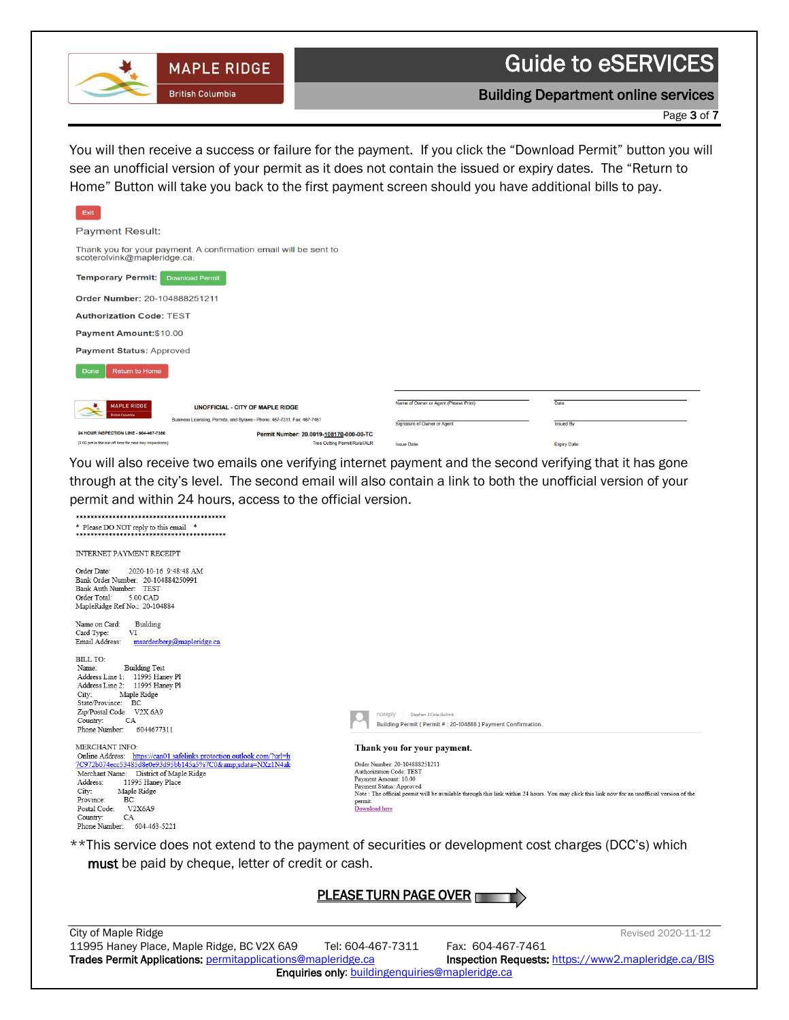

Building Department online services

Page 3 of 7

You will then receive a success or failure for the payment. If you click the "Download Permit" button you will see an unofficial version of your permit as it does not contain the issued or expiry dates. The "Return to Home" Button will take you back to the first payment screen should you have additional bills to pay.

 $\begin{array}{c} \hline \end{array}$ 

| Exit                                                   |                                                                          |                                       |                     |
|--------------------------------------------------------|--------------------------------------------------------------------------|---------------------------------------|---------------------|
| <b>Payment Result:</b>                                 |                                                                          |                                       |                     |
| scoterolvink@mapleridge.ca.                            | Thank you for your payment. A confirmation email will be sent to         |                                       |                     |
| <b>Temporary Permit:</b>                               | <b>Download Permit</b>                                                   |                                       |                     |
| Order Number: 20-104888251211                          |                                                                          |                                       |                     |
| <b>Authorization Code: TEST</b>                        |                                                                          |                                       |                     |
| <b>Payment Amount:\$10.00</b>                          |                                                                          |                                       |                     |
| <b>Payment Status: Approved</b>                        |                                                                          |                                       |                     |
| <b>Return to Home</b><br>Done                          |                                                                          |                                       |                     |
|                                                        |                                                                          |                                       |                     |
| <b>MAPLE RIDGE</b>                                     | <b>UNOFFICIAL - CITY OF MAPLE RIDGE</b>                                  | Name of Owner or Agent (Please Print) | Date                |
| <b>British Columbia</b>                                | Business Licensing, Permits, and Bylaws - Phone: 467-7311, Fax: 467-7461 | Signature of Owner or Agent           | <b>Issued By</b>    |
| 24 HOUR INSPECTION LINE - 604-467-7380                 | Permit Number: 20.0019-108170-000-00-TC                                  |                                       |                     |
| (3:00 pm is the cut-off time for next day inspections) | <b>Tree Cutting Permit/Rural/ALR</b>                                     | <b>Issue Date:</b>                    | <b>Exniry Date:</b> |

You will also receive two emails one verifying internet payment and the second verifying that it has gone through at the city's level. The second email will also contain a link to both the unofficial version of your permit and within 24 hours, access to the official version.

| * Please DO NOT reply to this email *                                                                                                                                                                                                                                                                                                               |                                                                                                                                                                                                                                                                                                                           |
|-----------------------------------------------------------------------------------------------------------------------------------------------------------------------------------------------------------------------------------------------------------------------------------------------------------------------------------------------------|---------------------------------------------------------------------------------------------------------------------------------------------------------------------------------------------------------------------------------------------------------------------------------------------------------------------------|
| INTERNET PAYMENT RECEIPT                                                                                                                                                                                                                                                                                                                            |                                                                                                                                                                                                                                                                                                                           |
| Order Date:<br>2020-10-16 9:48:48 AM<br>Bank Order Number: 20-104884250991<br>Bank Auth Number: TEST<br>Order Total:<br>5.00 CAD<br>MapleRidge Ref No.: 20-104884                                                                                                                                                                                   |                                                                                                                                                                                                                                                                                                                           |
| Building<br>Name on Card:<br>Card Type:<br>VI<br>Email Address:<br>msardenberg@mapleridge.ca                                                                                                                                                                                                                                                        |                                                                                                                                                                                                                                                                                                                           |
| <b>BILL TO:</b><br><b>Building Test</b><br>Name:<br>Address Line 1: 11995 Haney Pl<br>Address Line 2: 11995 Haney Pl<br>Maple Ridge<br>City:<br>State/Province: BC<br>Zip/Postal Code: V2X 6A9<br>CA<br>Country:<br>Phone Number:<br>6044677311                                                                                                     | Stephen J Cote-Rolvink<br>noreply<br>Building Permit { Permit # : 20-104888 } Payment Confirmation.                                                                                                                                                                                                                       |
| MERCHANT INFO:<br>Online Address: https://can01.safelinks.protection.outlook.com/?url=h<br>7C972b074ecc53485d8e0e93d95bb145a5%7C0&sdata=NXz1N4ak<br>Merchant Name: District of Maple Ridge<br>Address:<br>11995 Haney Place<br>Maple Ridge<br>City:<br>BC<br>Province:<br>Postal Code:<br>V2X6A9<br>CA<br>Country:<br>Phone Number:<br>604-463-5221 | Thank you for your payment.<br>Order Number: 20-104888251211<br>Authorization Code: TEST<br>Payment Amount: 10.00<br>Payment Status: Approved<br>Note : The official permit will be available through this link within 24 hours. You may click this link now for an unofficial version of the<br>permit.<br>Download here |

\*\*This service does not extend to the payment of securities or development cost charges (DCC's) which must be paid by cheque, letter of credit or cash.



| City of Maple Ridge                                                 |                                                 | Revised 2020-11-12                                         |
|---------------------------------------------------------------------|-------------------------------------------------|------------------------------------------------------------|
| 11995 Haney Place, Maple Ridge, BC V2X 6A9                          | Tel: 604-467-7311                               | Fax: 604-467-7461                                          |
| <b>Trades Permit Applications: permitapplications@mapleridge.ca</b> |                                                 | <b>Inspection Requests: https://www2.mapleridge.ca/BIS</b> |
|                                                                     | Enquiries only: buildingenquiries@mapleridge.ca |                                                            |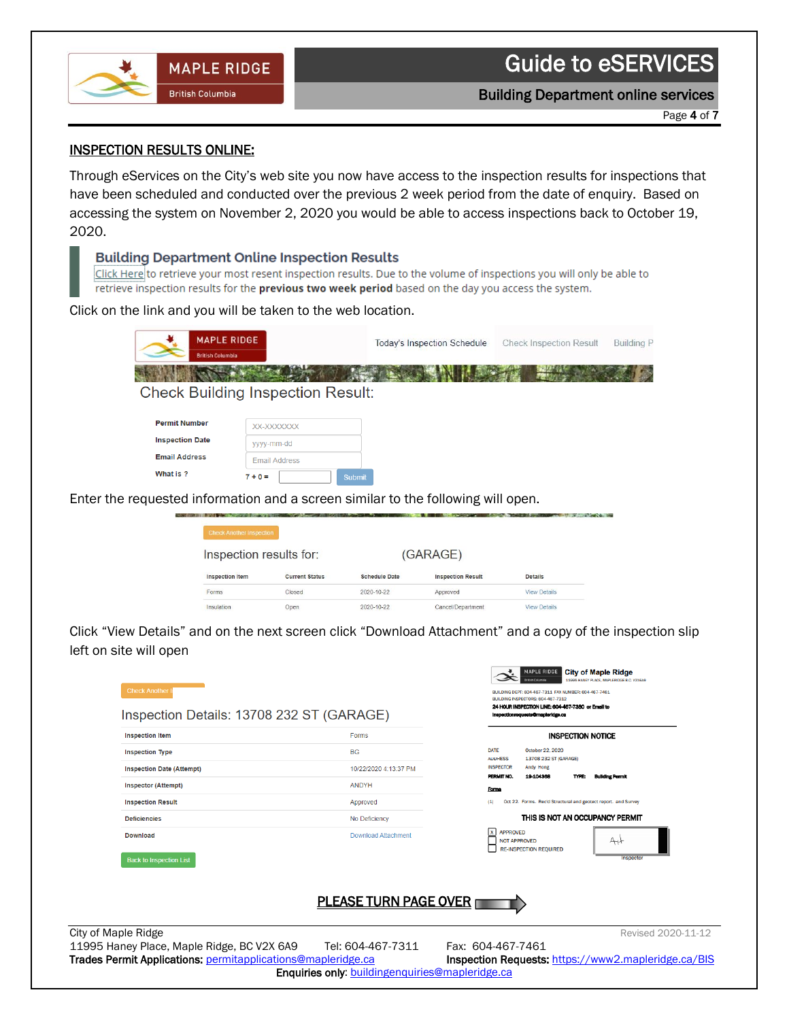

Page 4 of 7

### INSPECTION RESULTS ONLINE:

Through eServices on the City's web site you now have access to the inspection results for inspections that have been scheduled and conducted over the previous 2 week period from the date of enquiry. Based on accessing the system on November 2, 2020 you would be able to access inspections back to October 19, 2020.

#### **Building Department Online Inspection Results**

**MAPLE RIDGE** 

**British Columbia** 

 $\begin{array}{c} \hline \end{array}$ 

Click Here to retrieve your most resent inspection results. Due to the volume of inspections you will only be able to retrieve inspection results for the previous two week period based on the day you access the system.

Click on the link and you will be taken to the web location.

| <b>MAPLE RIDGE</b><br><b>British Columbia</b>                                    |                                          | <b>Today's Inspection Schedule</b> | <b>Check Inspection Result</b> | <b>Building P</b> |
|----------------------------------------------------------------------------------|------------------------------------------|------------------------------------|--------------------------------|-------------------|
|                                                                                  | <b>Check Building Inspection Result:</b> |                                    |                                |                   |
| <b>Permit Number</b>                                                             | XX-XXXXXXX                               |                                    |                                |                   |
| <b>Inspection Date</b>                                                           | vyyy-mm-dd                               |                                    |                                |                   |
| <b>Email Address</b>                                                             | <b>Email Address</b>                     |                                    |                                |                   |
| What is ?                                                                        | $7 + 0 =$<br><b>Submit</b>               |                                    |                                |                   |
| Enter the requested information and a screen similar to the following will open. |                                          |                                    |                                |                   |

| Inspection results for: |                       |                      | (GARAGE)                 |                     |
|-------------------------|-----------------------|----------------------|--------------------------|---------------------|
| <b>Inspection Item</b>  | <b>Current Status</b> | <b>Schedule Date</b> | <b>Inspection Result</b> | <b>Details</b>      |
| Forms                   | Closed                | 2020-10-22           | Approved                 | <b>View Details</b> |
|                         |                       |                      |                          |                     |

Click "View Details" and on the next screen click "Download Attachment" and a copy of the inspection slip left on site will open

| <b>Check Another</b><br>Inspection Details: 13708 232 ST (GARAGE) |                                                        | MAPLE RIDGE<br><b>City of Maple Ridge</b><br><b>British Columbia</b><br>11995 HANEY PLACE, MAPLERIDGE B.C. V2X6A9<br>BUILDING DEPT: 604-467-7311 FAX NUMBER: 604-467-7461<br>BUILDING INSPECTORS: 604-467-7312<br>24 HOUR INSPECTION LINE: 604-467-7380 or Email to<br>Inspectionrequests@maplerIdge.ca |
|-------------------------------------------------------------------|--------------------------------------------------------|---------------------------------------------------------------------------------------------------------------------------------------------------------------------------------------------------------------------------------------------------------------------------------------------------------|
| <b>Inspection Item</b>                                            | Forms                                                  | <b>INSPECTION NOTICE</b>                                                                                                                                                                                                                                                                                |
| <b>Inspection Type</b>                                            | <b>BG</b>                                              | October 22, 2020<br><b>DATE</b><br>13708 232 ST (GARAGE)<br><b>AUURESS</b>                                                                                                                                                                                                                              |
| <b>Inspection Date (Attempt)</b>                                  | 10/22/2020 4:13:37 PM                                  | <b>INSPECTOR</b><br>Andy Hong<br>PERMIT NO.<br>19404368<br><b>Building Permit</b><br>TYPE:                                                                                                                                                                                                              |
| <b>Inspector (Attempt)</b>                                        | <b>ANDYH</b>                                           | Forms                                                                                                                                                                                                                                                                                                   |
| <b>Inspection Result</b>                                          | Approved                                               | Oct 22. Forms. Rec'd Structural and geotect report. and Survey<br>(1)                                                                                                                                                                                                                                   |
| <b>Deficiencies</b>                                               | No Deficiency                                          | THIS IS NOT AN OCCUPANCY PERMIT                                                                                                                                                                                                                                                                         |
| <b>Download</b><br><b>Back to Inspection List</b>                 | <b>Download Attachment</b>                             | <b>APPROVED</b><br>$\mathbf{x}$<br>AH<br><b>NOT APPROVED</b><br><b>RE-INSPECTION REQUIRED</b><br>Inspector                                                                                                                                                                                              |
|                                                                   | <b>PLEASE TURN PAGE OVER T</b>                         |                                                                                                                                                                                                                                                                                                         |
| City of Maple Ridge                                               |                                                        | Revised 2020-11-12                                                                                                                                                                                                                                                                                      |
| 11995 Haney Place, Maple Ridge, BC V2X 6A9                        | Tel: 604-467-7311                                      | Fax: 604-467-7461                                                                                                                                                                                                                                                                                       |
| Trades Permit Applications: permitapplications@mapleridge.ca      |                                                        | Inspection Requests: https://www2.mapleridge.ca/BIS                                                                                                                                                                                                                                                     |
|                                                                   | <b>Enquiries only:</b> buildingenquiries@mapleridge.ca |                                                                                                                                                                                                                                                                                                         |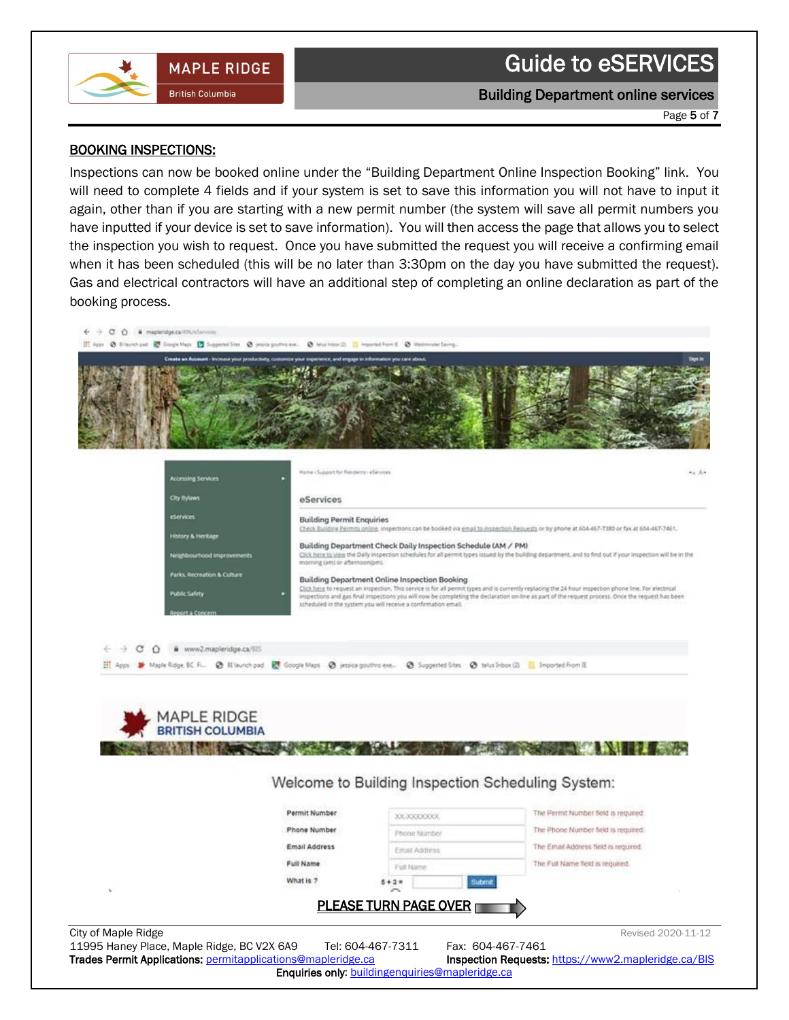

 $\begin{array}{c} \hline \end{array}$ 

#### Building Department online services

Page 5 of 7

#### BOOKING INSPECTIONS:

Inspections can now be booked online under the "Building Department Online Inspection Booking" link. You will need to complete 4 fields and if your system is set to save this information you will not have to input it again, other than if you are starting with a new permit number (the system will save all permit numbers you have inputted if your device is set to save information). You will then access the page that allows you to select the inspection you wish to request. Once you have submitted the request you will receive a confirming email when it has been scheduled (this will be no later than 3:30pm on the day you have submitted the request). Gas and electrical contractors will have an additional step of completing an online declaration as part of the booking process.

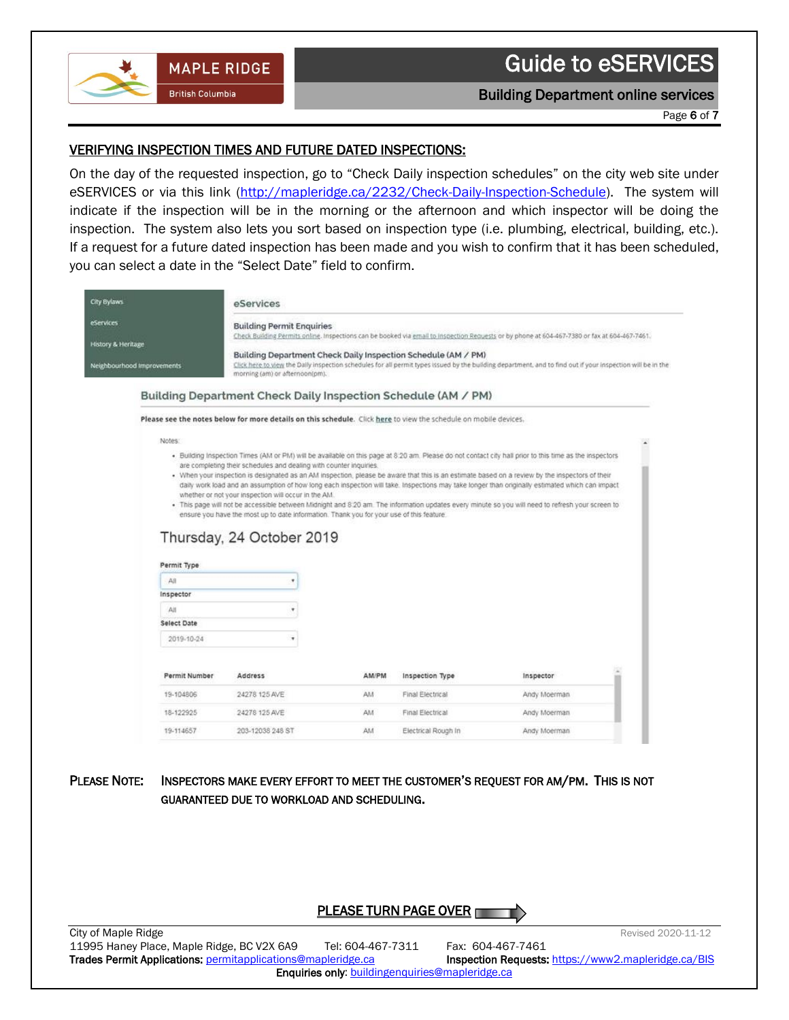

#### Building Department online services

Page 6 of 7

#### VERIFYING INSPECTION TIMES AND FUTURE DATED INSPECTIONS:

**MAPLE RIDGE** 

**British Columbia** 

 $\begin{array}{c} \hline \end{array}$ 

On the day of the requested inspection, go to "Check Daily inspection schedules" on the city web site under eSERVICES or via this link [\(http://mapleridge.ca/2232/Check-Daily-Inspection-Schedule\)](http://mapleridge.ca/2232/Check-Daily-Inspection-Schedule). The system will indicate if the inspection will be in the morning or the afternoon and which inspector will be doing the inspection. The system also lets you sort based on inspection type (i.e. plumbing, electrical, building, etc.). If a request for a future dated inspection has been made and you wish to confirm that it has been scheduled, you can select a date in the "Select Date" field to confirm.

| City By aws                                                 |                    | eServices                                                                                                                                                                    |       |                  |                                                                                                                                                                                                                                                                                                    |  |
|-------------------------------------------------------------|--------------------|------------------------------------------------------------------------------------------------------------------------------------------------------------------------------|-------|------------------|----------------------------------------------------------------------------------------------------------------------------------------------------------------------------------------------------------------------------------------------------------------------------------------------------|--|
| <b>eServices</b>                                            |                    | <b>Building Permit Enquiries</b>                                                                                                                                             |       |                  | Check Building Permits online. Inspections can be booked via email to inspection Requests or by phone at 604-467-7380 or fax at 604-467-7461.                                                                                                                                                      |  |
| <b>History &amp; Heritage</b><br>Neighbourhood Improvements |                    | Building Department Check Daily Inspection Schedule (AM / PM)<br>morning (am) or afternoon(pm).                                                                              |       |                  | Click here to view the Daily inspection schedules for all permit types issued by the building department, and to find out if your inspection will be in the                                                                                                                                        |  |
|                                                             |                    | Building Department Check Daily Inspection Schedule (AM / PM)                                                                                                                |       |                  |                                                                                                                                                                                                                                                                                                    |  |
|                                                             |                    | Please see the notes below for more details on this schedule. Click here to view the schedule on mobile devices.                                                             |       |                  |                                                                                                                                                                                                                                                                                                    |  |
| Notes:                                                      |                    |                                                                                                                                                                              |       |                  |                                                                                                                                                                                                                                                                                                    |  |
|                                                             |                    |                                                                                                                                                                              |       |                  | . When your inspection is designated as an AM inspection, please be aware that this is an estimate based on a review by the inspectors of their<br>daily work load and an assumption of how long each inspection will take. Inspections may take longer than originally estimated which can impact |  |
| All                                                         | Permit Type        | whether or not your inspection will occur in the AM.<br>ensure you have the most up to date information. Thank you for your use of this feature<br>Thursday, 24 October 2019 |       |                  | . This page will not be accessible between Midnight and 8:20 am. The information updates every minute so you will need to refresh your screen to                                                                                                                                                   |  |
| Inspector                                                   |                    |                                                                                                                                                                              |       |                  |                                                                                                                                                                                                                                                                                                    |  |
| All                                                         | <b>Select Date</b> |                                                                                                                                                                              |       |                  |                                                                                                                                                                                                                                                                                                    |  |
|                                                             | 2019-10-24         |                                                                                                                                                                              |       |                  |                                                                                                                                                                                                                                                                                                    |  |
|                                                             | Permit Number      | Address                                                                                                                                                                      | AM/PM | Inspection Type  | Inspector                                                                                                                                                                                                                                                                                          |  |
|                                                             | 19-104806          | 24278 125 AVE                                                                                                                                                                | AM    | Final Electrical | Andy Moerman                                                                                                                                                                                                                                                                                       |  |
|                                                             | 18-122925          | 24278 125 AVE                                                                                                                                                                | AM    | Final Electrical | Andy Moerman                                                                                                                                                                                                                                                                                       |  |

PLEASE NOTE: INSPECTORS MAKE EVERY EFFORT TO MEET THE CUSTOMER'S REQUEST FOR AM/PM. THIS IS NOT GUARANTEED DUE TO WORKLOAD AND SCHEDULING.

# PLEASE TURN PAGE OVER

City of Maple Ridge Revised 2020-11-12 11995 Haney Place, Maple Ridge, BC V2X 6A9 Tel: 604-467-7311 Fax: 604-467-7461 Trades Permit Applications: [permitapplications@mapleridge.ca](mailto:permitapplications@mapleridge.ca) Inspection Requests: <https://www2.mapleridge.ca/BIS> Enquiries only: [buildingenquiries@mapleridge.ca](mailto:buldingenquiries@mapleridge.ca)